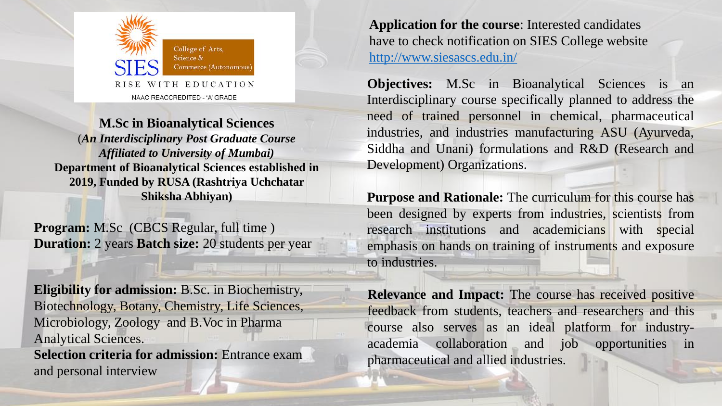

**M.Sc in Bioanalytical Sciences** 

(*An Interdisciplinary Post Graduate Course Affiliated to University of Mumbai)* **Department of Bioanalytical Sciences established in 2019, Funded by RUSA (Rashtriya Uchchatar Shiksha Abhiyan)**

**Program:** M.Sc (CBCS Regular, full time ) **Duration:** 2 years **Batch size:** 20 students per year

**Eligibility for admission:** B.Sc. in Biochemistry, Biotechnology, Botany, Chemistry, Life Sciences, Microbiology, Zoology and B.Voc in Pharma Analytical Sciences. **Selection criteria for admission:** Entrance exam and personal interview

**Application for the course**: Interested candidates have to check notification on SIES College website <http://www.siesascs.edu.in/>

**Objectives:** M.Sc in Bioanalytical Sciences is an Interdisciplinary course specifically planned to address the need of trained personnel in chemical, pharmaceutical industries, and industries manufacturing ASU (Ayurveda, Siddha and Unani) formulations and R&D (Research and Development) Organizations.

**Purpose and Rationale:** The curriculum for this course has been designed by experts from industries, scientists from research institutions and academicians with special emphasis on hands on training of instruments and exposure to industries.

**Relevance and Impact:** The course has received positive feedback from students, teachers and researchers and this course also serves as an ideal platform for industryacademia collaboration and job opportunities in pharmaceutical and allied industries.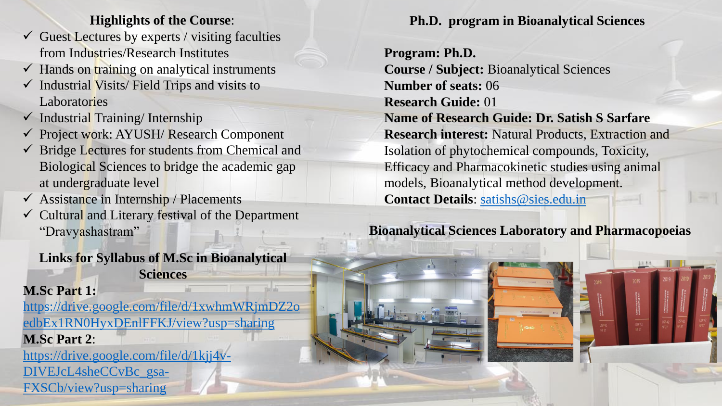#### **Highlights of the Course**:

- $\checkmark$  Guest Lectures by experts / visiting faculties from Industries/Research Institutes
- $\checkmark$  Hands on training on analytical instruments
- $\checkmark$  Industrial Visits/Field Trips and visits to Laboratories
- $\checkmark$  Industrial Training/Internship
- ✓ Project work: AYUSH/ Research Component
- $\checkmark$  Bridge Lectures for students from Chemical and Biological Sciences to bridge the academic gap at undergraduate level
- $\checkmark$  Assistance in Internship / Placements
- ✓ Cultural and Literary festival of the Department "Dravyashastram"

**Links for Syllabus of M.Sc in Bioanalytical Sciences**

## **M.Sc Part 1:**

FXSCb/view?usp=sharing

[https://drive.google.com/file/d/1xwhmWRjmDZ2o](https://drive.google.com/file/d/1xwhmWRjmDZ2oedbEx1RN0HyxDEnlFFKJ/view?usp=sharing) edbEx1RN0HyxDEnlFFKJ/view?usp=sharing **M.Sc Part 2**: [https://drive.google.com/file/d/1kjj4v-](https://drive.google.com/file/d/1kjj4v-DIVEJcL4sheCCvBc_gsa-FXSCb/view?usp=sharing)DIVEJcL4sheCCvBc\_gsa**Ph.D. program in Bioanalytical Sciences**

**Program: Ph.D. Course / Subject:** Bioanalytical Sciences **Number of seats:** 06 **Research Guide:** 01 **Name of Research Guide: Dr. Satish S Sarfare Research interest:** Natural Products, Extraction and Isolation of phytochemical compounds, Toxicity, Efficacy and Pharmacokinetic studies using animal models, Bioanalytical method development. **Contact Details**: [satishs@sies.edu.in](mailto:satishs@sies.edu.in)

# **Bioanalytical Sciences Laboratory and Pharmacopoeias**